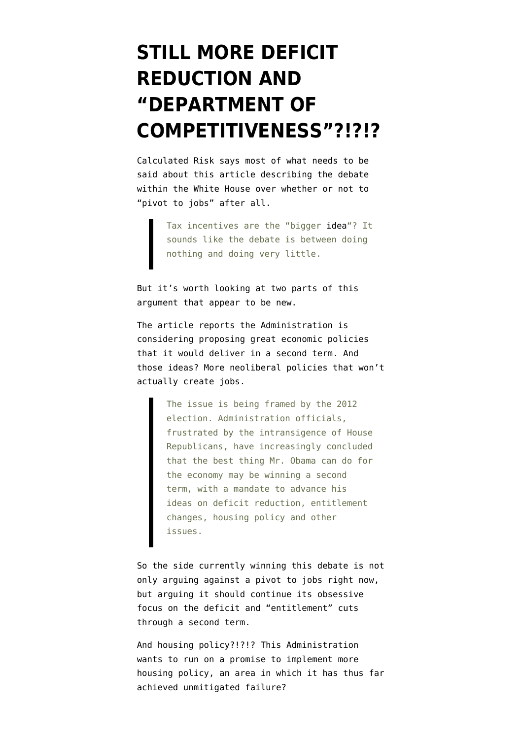## **[STILL MORE DEFICIT](https://www.emptywheel.net/2011/08/14/still-more-deficit-reduction-and-department-of-competitiveness/) [REDUCTION AND](https://www.emptywheel.net/2011/08/14/still-more-deficit-reduction-and-department-of-competitiveness/) ["DEPARTMENT OF](https://www.emptywheel.net/2011/08/14/still-more-deficit-reduction-and-department-of-competitiveness/) [COMPETITIVENESS"?!?!?](https://www.emptywheel.net/2011/08/14/still-more-deficit-reduction-and-department-of-competitiveness/)**

Calculated Risk [says](http://www.calculatedriskblog.com/2011/08/white-house-debates-doing-little-or.html) most of what needs to be said about [this article](https://www.nytimes.com/2011/08/14/us/politics/14econ.html?pagewanted=all) describing the debate within the White House over whether or not to "pivot to jobs" after all.

> Tax incentives are the "bigger [idea](http://www.calculatedriskblog.com/2011/08/white-house-debates-doing-little-or.html?utm_source=feedburner&utm_medium=feed&utm_campaign=Feed%3A+CalculatedRisk+%28Calculated+Risk%29#)"? It sounds like the debate is between doing nothing and doing very little.

But it's worth looking at two parts of this argument that appear to be new.

The article reports the Administration is considering proposing great economic policies that it would deliver in a second term. And those ideas? More neoliberal policies that won't actually create jobs.

> The issue is being framed by the 2012 election. Administration officials, frustrated by the intransigence of House Republicans, have increasingly concluded that the best thing Mr. Obama can do for the economy may be winning a second term, with a mandate to advance his ideas on deficit reduction, entitlement changes, housing policy and other issues.

So the side currently winning this debate is not only arguing against a pivot to jobs right now, but arguing it should continue its obsessive focus on the deficit and "entitlement" cuts through a second term.

And housing policy?!?!? This Administration wants to run on a promise to implement more housing policy, an area in which it has thus far achieved [unmitigated failure](http://news.firedoglake.com/2010/08/23/portrait-of-hamp-failure-it-makes-your-financial-situation-worse/)?